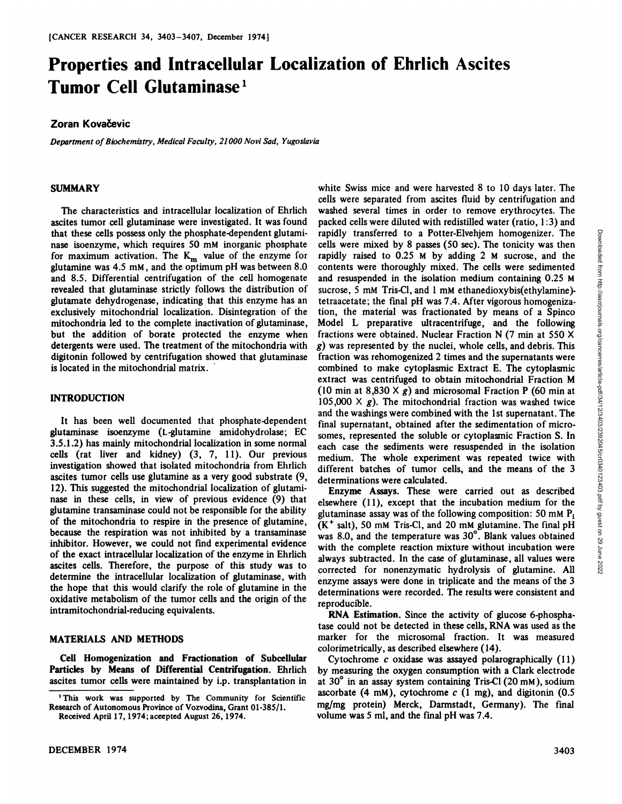# **Properties and Intracellular Localization of Ehrlich Ascites Tumor Cell'**

## **Zoran Kova@evic**

*Department ofBiochemistry, MedicalFaculty, 21000 Novi Sad, Yugoslavia*

#### SUMMARY

The characteristics and intracellular localization of Ehrlich ascites tumor cell glutaminase were investigated. It was found that these cells possess only the phosphate-dependent glutami nase isoenzyme, which requires 50 mM inorganic phosphate for maximum activation. The  $K_m$  value of the enzyme for glutamine was 4.5 mM , and the optimum pH was between 8.0 and 8.5. Differential centrifugation of the cell homogenate revealed that glutaminase strictly follows the distribution of glutamate dehydrogenase, indicating that this enzyme has an exclusively mitochondrial localization. Disintegration of the mitochondria led to the complete inactivation of glutaminase, but the addition of borate protected the enzyme when detergents were used. The treatment of the mitochondria with digitonin followed by centrifugation showed that glutaminase is located in the mitochondrial matrix.

#### INTRODUCTION

**It has been well documented that phosphate-dependent** glutaminase isoenzyme (L-glutamine amidohydrolase; EC *3.5.1 .2) has mainly mitochondrial localization in some normal* cells (rat liver and kidney) (3, 7, 11). Our previous investigation showed that isolated mitochondria from Ehrlich ascites tumor cells use glutamine as a very good substrate (9, 12). This suggested the mitochondrial localization of glutami nase in these cells, in view of previous evidence (9) that glutamine transaminase could not be responsible for the ability of the mitochondria to respire in the presence of glutamine, because the respiration was not inhibited by a transaminase inhibitor. However, we could not find experimental evidence of the exact intracellular localization of the enzyme in Ehrlich ascites cells. Therefore, the purpose of this study was to determine the intracellular localization of glutaminase, with the hope that this would clarify the role of glutamine in the oxidative metabolism of the tumor cells and the origin of the intramitochondrial-reducing equivalents.

#### MATERIALS AND METHODS

**Cell Homogenization and Fractionation of Subcellular** Particles by Means of Differential Centrifugation. Ehrlich ascites tumor cells were maintained by i.p. transplantation in

white Swiss mice and were harvested 8 to 10 days later. The cells were separated from ascites fluid by centrifugation and washed several times in order to remove erythrocytes. The packed cells were diluted with redistilled water (ratio, 1:3) and rapidly transferred to a Potter-Elvehjem homogenizer. The passes (50 sec). The tonicity was the rapidly raised to 0.25 M by adding 2 M sucrose, and the contents were thoroughly mixed. The cells were sedimented and resuspe cells were mixed by 8 passes (50 sec). The tonicity was then rapidly raised to 0.25 M by adding 2 M sucrose, and the contents were thoroughly mixed. The cells were sedimented and resuspended in the isolation medium containing 0.25 M sucrose, 5 mM Tris-Cl, and 1 mM ethanedioxybis(ethylamine)tetraacetate; the fmal pH was 7.4. After vigorous homogeniza tion, the material was fractionated by means of a Spinco Model L preparative ultracentrifuge, and the following fractions were obtained. Nuclear Fraction N (7 min at 550 X *g) was represented by the nuclei, whole cells, and debris. This* fraction was rehomogenized 2 times and the supernatants were combined to make cytoplasmic Extract E. The cytoplasmic extract was centrifuged to obtain mitochondrial Fraction M  $(10 \text{ min at } 8,830 \times g)$  and microsomal Fraction P  $(60 \text{ min at } 10,830 \times g)$ 105,000  $\times$  g). The mitochondrial fraction was washed twice and the washings were combined with the 1st supernatant. The final supernatant, obtained after the sedimentation of micro somes, represented the soluble or cytoplasmic Fraction S. In each case the sediments were resuspended in the isolation medium. The whole experiment was repeated twice with different batches of tumor cells, and the means of the 3 determinations were calculated.

Enzyme Assays. These were carried out as described elsewhere (11), except that the incubation medium for the glutaminase assay was of the following composition: 50 mM  $P_i$ **(K@salt), 50 mM Tris-Ci, and 20 mM glutamine. The final pH** was 8.0, and the temperature was 30°. Blank values obtained with the complete reaction mixture without incubation were always subtracted. In the case of glutaminase, all values were corrected for nonenzymatic hydrolysis of glutamine. All enzyme assays were done in triplicate and the means of the 3 determinations were recorded. The results were consistent and reproducible.

RNA Estimation. Since the activity of glucose 6-phospha tase could not be detected in these cells, RNA was used as the marker for the microsomal fraction. It was measured colorimetrically, as described elsewhere (14).

Cytochrome  $c$  oxidase was assayed polarographically  $(11)$ by measuring the oxygen consumption with a Clark electrode at 30° in an assay system containing Tris-Cl (20 mM), sodium ascorbate (4 mM), cytochrome  $c$  (1 mg), and digitonin (0.5 mg/mg protein) Merck, Darmstadt, Germany). The final volume was 5 ml, and the final pH was 7.4.

**<sup>1</sup> This work was supported by The Community for Scientific** Research of Autonomous Province of Vozvodina, Grant 01-385/1. Received April 17, 1974; accepted August 26, 1974.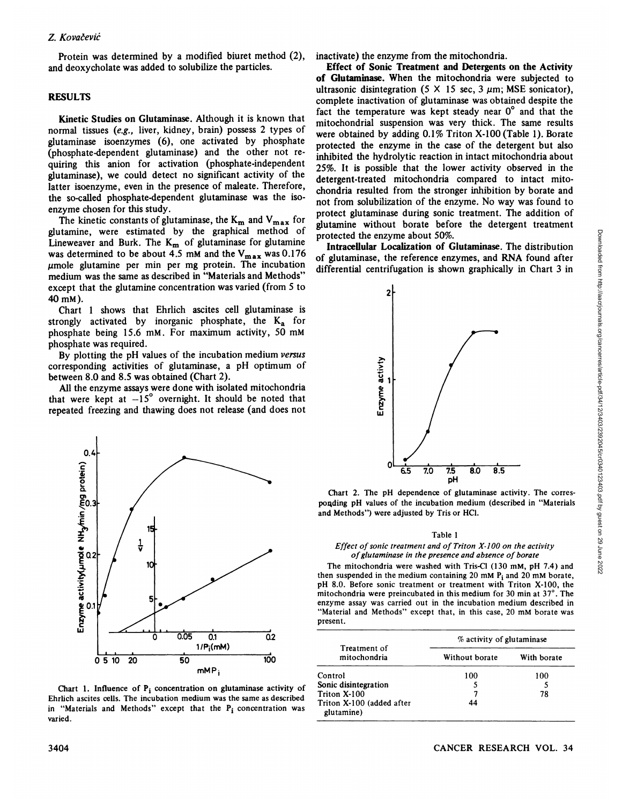Protein was determined by a modified biuret method (2), and deoxycholate was added to solubiize the particles.

### RESULTS

Kinetic Studies on Glutaminase. Although it is known that normal tissues (e.g., liver, kidney, brain) possess 2 types of glutaminase isoenzymes (6), one activated by phosphate (phosphate-dependent glutaminase) and the other not requiring this anion for activation (phosphate-independent glutaminase), we could detect no significant activity of the latter isoenzyme, even in the presence of maleate. Therefore, the so-called phosphate-dependent glutaminase was the iso enzyme chosen for this study.

The kinetic constants of glutaminase, the  $K_m$  and  $V_{max}$  for glutamine, were estimated by the graphical method of Lineweaver and Burk. The  $K_m$  of glutaminase for glutamine was determined to be about 4.5 mM and the  $V_{\text{max}}$  was 0.176  $\mu$ mole glutamine per min per mg protein. The incubation medium was the same as described in "Materials and Methods" except that the glutamine concentration was varied (from 5 to 40mM).

Chart 1 shows that Ehrlich ascites cell glutaminase is strongly activated by inorganic phosphate, the  $K_a$  for phosphate being 15.6 mM. For maximum activity, 50 mM phosphate was required.

By plotting the pH values of the incubation medium versus corresponding activities of glutaminase, a pH optimum of between 8.0 and 8.5 was obtained (Chart 2).

All the enzyme assays were done with isolated mitochondria that were kept at  $-15^{\circ}$  overnight. It should be noted that repeated freezing and thawing does not release (and does not



Chart 1. Influence of  $P_i$  concentration on glutaminase activity of Ehrlich ascites cells. The incubation medium was the same as described in "Materials and Methods" except that the  $P_i$  concentration was varied.

inactivate) the enzyme from the mitochondria.

Effect of Sonic Treatment and Detergents on the Activity of Glutaminase. When the mitochondria were subjected to ultrasonic disintegration (5  $\times$  15 sec, 3  $\mu$ m; MSE sonicator), complete inactivation of glutaminase was obtained despite the fact the temperature was kept steady near 0° and that the mitochondrial suspension was very thick. The same results were obtained by adding 0.1% Triton X-100 (Table 1). Borate protected the enzyme in the case of the detergent but also inhibited the hydrolytic reaction in intact mitochondria about 25%. It is possible that the lower activity observed in the detergent-treated mitochondria compared to intact mito chondria resulted from the stronger inhibition by borate and not from solubilization of the enzyme. No way was found to protect glutaminase during sonic treatment. The addition of gIutamine without borate before the detergent treatment protected the enzyme about 50%.

of glutaminase, the reference enzymes, and RNA found after differential centrifugation is shown graphically in Chart 3 in



Chart 2. The pH dependence of glutaminase activity. The corres poqding pH values of the incubation medium (described in "Materials and Methods") were adjusted by Tris or HCl.

## Table 1

#### *Effect ofsonic treatment and of Triton X-100 on the activity ofglutaminase in the presence and absence of borate*

The mitochondria were washed with Tris-Cl (130 mM, pH 7.4) and then suspended in the medium containing 20 mM  $P_i$  and 20 mM borate, pH 8.0. Before sonic treatment or treatment with Triton X-100, the mitochondria were preincubated in this medium for 30 min at  $37^\circ$ . The enzyme assay was carried out in the incubation medium described in "Material and Methods" except that, in this case, 20 mM borate was present.

| Treatment of<br>mitochondria            | % activity of glutaminase |             |  |  |  |  |
|-----------------------------------------|---------------------------|-------------|--|--|--|--|
|                                         | Without borate            | With borate |  |  |  |  |
| Control                                 | 100                       | 100         |  |  |  |  |
| Sonic disintegration                    |                           |             |  |  |  |  |
| Triton X-100                            |                           | 78          |  |  |  |  |
| Triton X-100 (added after<br>glutamine) | 44                        |             |  |  |  |  |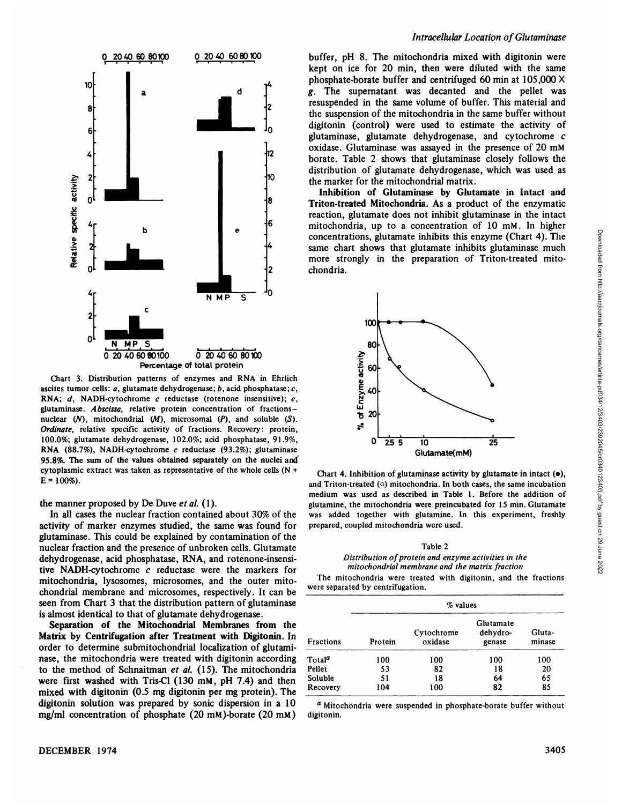![](_page_2_Figure_0.jpeg)

Chart 3. Distribution patterns of enzymes and RNA in Ehrlich ascites tumor cells:  $a$ , glutamate dehydrogenase;  $b$ , acid phosphatase;  $c$ , RNA;  $d$ , NADH-cytochrome  $c$  reductase (rotenone insensitive);  $e$ , glutaminase. Abscissa, relative protein concentration of fractionsnuclear  $(N)$ , mitochondrial  $(M)$ , microsomal  $(P)$ , and soluble  $(S)$ . *Ordinate, relative specific activity* of *fractions.* Recovery: protein, 100.0%; glutamate dehydrogenase, 102.0%; acid phosphatase, 91.9%, **RNA** (88.7%), NADH-cytochrome c reductase (93.2%); glutaminase 95.8%. The sum of the values obtained separately on the nuclei and cytoplasmic extract was taken as representative of the whole cells (N +  $E = 100\%$ ).

the manner proposed by De Duve et al. (1).

In all cases the nuclear fraction contained about 30% of the activity of marker enzymes studied, the same was found for glutaminase. This could be explained by contamination of the nuclear fraction and the presence of unbroken cells. Glutamate dehydrogenase, acid phosphatase, RNA, and rotenone-insensi tive NADH-cytochrome c reductase were the markers for mitochondria, lysosomes, microsomes, and the outer mito chondrial membrane and microsomes, respectively. It can be seen from Chart 3 that the distribution pattern of glutaminase is almost identical to that of glutamate dehydrogenase.

Separation of the Mitochondrial Membranes from the Matrix by Centrifugation after Treatment with Digitonin. In order to determine submitochondrial localization of glutami nase, the mitochondria were treated with digitonin according to the method of Schnaitman et  $al.$  (15). The mitochondria were first washed with Tris-Cl (130 mM, pH 7.4) and then mixed with digitonin (0.5 mg digitonin per mg protein). The digitonin solution was prepared by sonic dispersion in a 10 mg/mi concentration of phosphate (20 mM)-borate (20 mM)

buffer, pH 8. The mitochondria mixed with digitonin were kept on ice for 20 min, then were diluted with the same phosphate-borate buffer and centrifuged 60 min at  $105,000 \times$ *g. The supematant was decanted and the pellet was* resuspended in the same volume of buffer. This material and the suspension of the mitochondria in the same buffer without digitonin (control) were used to estimate the activity of glutaminase, glutamate dehydrogenase, and cytochrome c oxidase. Glutaminase was assayed in the presence of 20 mM borate. Table 2 shows that glutaminase closely follows the distribution of glutamate dehydrogenase, which was used as <sup>10</sup> the marker for the mitochondrial matrix.

> Inhibition of Glutaminase by Glutamate in Intact and Triton-treated Mitochondria. As a product of the enzymatic reaction, glutamate does not inhibit glutaminase in the intact mitochondria, up to a concentration of 10 mM. In higher same chart shows that glutamate inhibits glutaminase much more strongly in the preparation of Triton-treated mito **2 chondria.**

![](_page_2_Figure_8.jpeg)

Chart 4. Inhibition of glutaminase activity by glutamate in intact  $(\bullet)$ , and Triton-treated  $(0)$  mitochondria. In both cases, the same incubation medium was used as described in Table 1. Before the addition of glutamine, the mitochondria were preincubated for 15 min. Glutamate was added together with glutamine. In this experiment, freshly prepared, coupled mitochondria were used.

#### Table 2 *Distribution ofprotein and enzyme activities in the mitochondrial membrane and the matrix fraction*

The mitochondria were treated with digitonin, and the fractions were separated by centrifugation.

|                    | $%$ values |                       |                                 |                  |
|--------------------|------------|-----------------------|---------------------------------|------------------|
| Fractions          | Protein    | Cytochrome<br>oxidase | Glutamate<br>dehydro-<br>genase | Gluta-<br>minase |
| Total <sup>a</sup> | 100        | 100                   | 100                             | 100              |
| Pellet             | 53         | 82                    | 18                              | 20               |
| Soluble            | 51         | 18                    | 64                              | 65               |
| Recovery           | 104        | 100                   | 82                              | 85               |

**a Mitochondria were suspended in phosphate-borate buffer without** digitonin.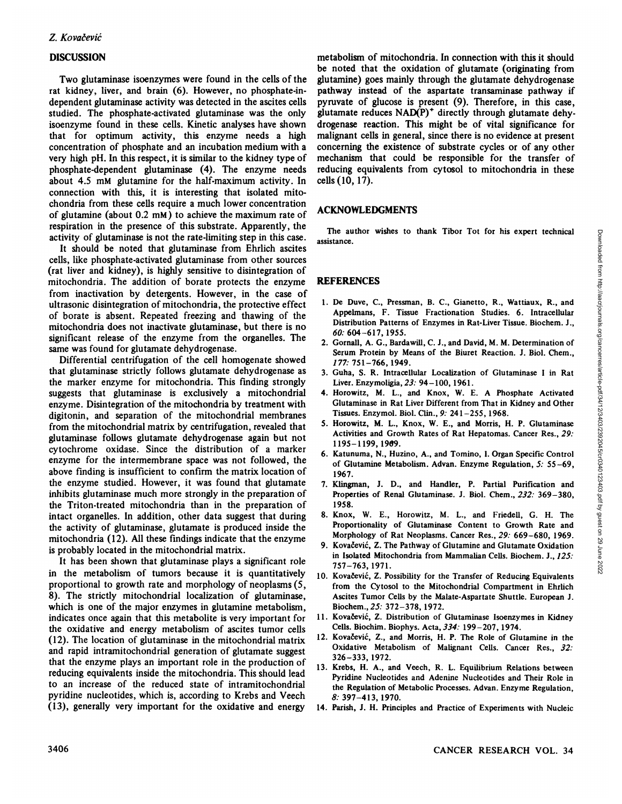# DISCUSSION

Two glutaminase isoenzymes were found in the cells of the rat kidney, liver, and brain (6). However, no phosphate-in dependent glutaminase activity was detected in the ascites cells studied. The phosphate-activated glutaminase was the only isoenzyme found in these cells. Kinetic analyses have shown that for optimum activity, this enzyme needs a high concentration of phosphate and an incubation medium with a very high pH. In this respect, it is similar to the kidney type of phosphate-dependent glutaminase (4). The enzyme needs about 4.5 mM glutamine for the half-maximum activity. In connection with this, it is interesting that isolated mitochondria from these cells require a much lower concentration of glutamine (about 0.2 mM) to achieve the maximum rate of respiration in the presence of this substrate. Apparently, the activity of glutaminase is not the rate-limiting step in this case.

It should be noted that glutaminase from Ehrlich ascites cells, like phosphate-activated glutaminase from other sources (rat liver and kidney), is highly sensitive to disintegration of mitochondria. The addition of borate protects the enzyme from inactivation by detergents. However, in the case of ultrasonic disintegration of mitochondria, the protective effect of borate is absent. Repeated freezing and thawing of the mitochondria does not inactivate glutaminase, but there is no significant release of the enzyme from the organelles. The same was found for glutamate dehydrogenase.

Differential centrifugation of the cell homogenate showed that glutaminase strictly follows glutamate dehydrogenase as the marker enzyme for mitochondria. This finding strongly suggests that glutaminase is exclusively a mitochondrial enzyme. Disintegration of the mitochondria by treatment with digitonin, and separation of the mitochondrial membranes from the mitochondrial matrix by centrifugation, revealed that glutaminase follows glutamate dehydrogenase again but not cytochrome oxidase. Since the distribution of a marker enzyme for the intermembrane space was not followed, the above finding is insufficient to confirm the matrix location of the enzyme studied. However, it was found that glutamate inhibits glutaminase much more strongly in the preparation of the Triton-treated mitochondria than in the preparation of intact organelles. In addition, other data suggest that during the activity of glutaminase, glutamate is produced inside the mitochondria (12). All these fmdings indicate that the enzyme is probably located in the mitochondrial matrix.

**It has been shown that glutaminase plays a significant role** in the metabolism of tumors because it is quantitatively proportional to growth rate and morphology of neoplasms (5, 8). The strictly mitochondrial localization of glutaminase, which is one of the major enzymes in glutamine metabolism, indicates once again that this metabolite is very important for the oxidative and energy metabolism of ascites tumor cells (12). The location of glutaminase in the mitochondrial matrix and rapid intramitochondrial generation of glutamate suggest that the enzyme plays an important role in the production of reducing equivalents inside the mitochondria. This should lead to an increase of the reduced state of intramitochondrial pyridine nucleotides, which is, according to Krebs and Veech (13), generally very important for the oxidative and energy

metabolism of mitochondria. In connection with this it should be noted that the oxidation of glutamate (originating from glutamine) goes mainly through the glutamate dehydrogenase pathway instead of the aspartate transaminase pathway if pyruvate of glucose is present (9). Therefore, in this case, glutamate reduces  $NAD(P)^+$  directly through glutamate dehydrogenase reaction. This might be of vital significance for malignant cells in general, since there is no evidence at present concerning the existence of substrate cycles or of any other mechanism that could be responsible for the transfer of reducing equivalents from cytosol to mitochondria in these cells(10, 17).

## ACKNOWLEDGMENTS

The author wishes to thank Tibor Tot for his expert technical assistance.

## REFERENCES

- The author wishes to thank Tibor Tot for his expert technical<br>
sistance.<br>
1. De Duve, C., Pressman, B. C., Gianetto, R., Wattiaux, R., and<br>
Appennans, F. Tissue Fractionation Studies. 6. Intracellular<br>
Distribution Partems Appehnans, F. Tissue Fractionation Studies. 6. Intracellular Distribution Patterns of Enzymes in Rat-Liver Tissue. Biochem. J., *60: 604—617,1955.*
- 2. Gornall, A. G., Bardawill, C. J., and David, M. M. Determination of Serum Protein by Means of the Biuret Reaction. J. Biol. Chem., 177:751—766, 1949.
- 3. Guha, S. R. Intracellular Localization of Glutaminase I in Rat Liver. Enzymoligia, 23: 94—100,1961.
- **4. Horowitz, M. L., and Knox, W. E. A Phosphate Activated** Glutaminase in Rat Liver Different from That in Kidney and Other Tissues. Enzymol. Biol. Clin., 9: 241-255, 1968.
- 5. Horowitz, M. L., Knox, W. E., and Morris, H. P. Glutaminase Activities and Growth Rates of Rat Hepatomas. Cancer Res., 29: 1195—1199, 1969.
- 6. Katunuma, N., Huzino, A., and Tomino, I. Organ Specific Control of Glutamine Metabolism.Advan. Enzyme Regulation, 5: 55—69, 1967.
- 7. Klingman, J. D., and Handler, P. Partial Purification and Properties of Renal Glutaminase. J. Biol. Chem., 232: 369-380, 1958.
- 8. Knox, W. E., Horowitz, M. L., and Friedell, G. H. The Proportionality of Glutaminase Content to Growth Rate and Morphology of Rat Neoplasms. Cancer Res., 29: 669—680,1969.
- 9. Kovačević, Z. The Pathway of Glutamine and Glutamate Oxidation in Isolated Mitochondria from Mammalian Cells. Biochem. J., 125: 757—763,1971.
- 10. Kovačević, Z. Possibility for the Transfer of Reducing Equivalents from the Cytosol to the Mitochondrial Compartment in Ehrlich Ascites Tumor Cells by the Malate-Aspartate Shuttle. European J. Biochem.,25: 372—378,1972.
- 11. Kovačević, Z. Distribution of Glutaminase Isoenzymes in Kidney Cells. Biochim. Biophys. Acta, 334: 199—207,1974.
- 12. Kovačević, Z., and Morris, H. P. The Role of Glutamine in the Oxidative Metabolism of Malignant Cells. Cancer Res., 32: 326—333,1972.
- 13. Krebs, H. A., and Veech, R. L. Equilibrium Relations between Pyridine Nucleotides and Adenine Nucleotides and Their Role in the Regulation of Metabolic Processes. Advan. Enzyme Regulation, *8: 397—413, 1970.*
- 14. Parish, J. H. Principles and Practice of Experiments with Nucleic